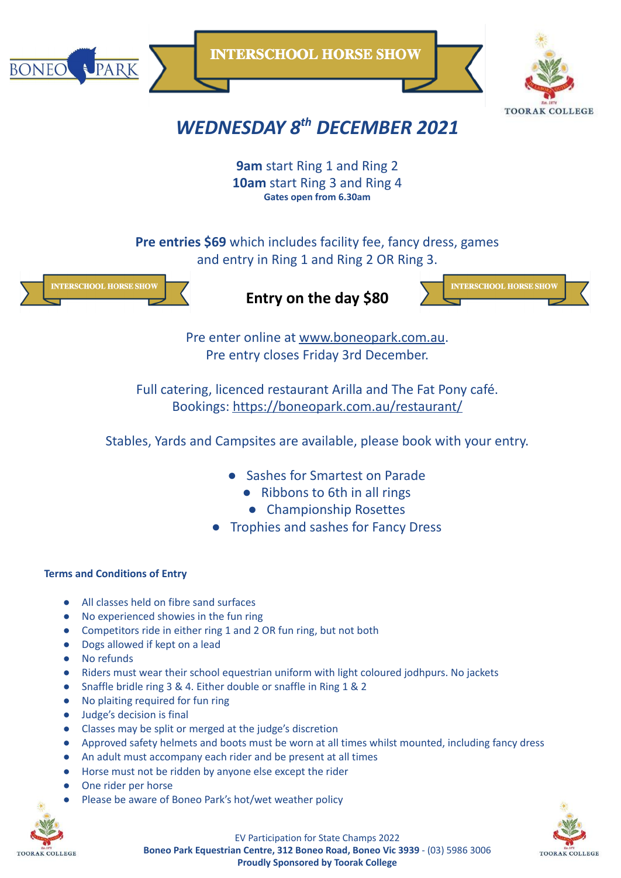

**INTERSCHOOL HORSE SHOW** 



# *WEDNESDAY 8 th DECEMBER 2021*

**9am** start Ring 1 and Ring 2 **10am** start Ring 3 and Ring 4 **Gates open from 6.30am**

**Pre entries \$69** which includes facility fee, fancy dress, games and entry in Ring 1 and Ring 2 OR Ring 3.



**Entry on the day \$80**



Pre enter online at [www.boneopark.com.au](http://www.boneopark.com.au). Pre entry closes Friday 3rd December.

Full catering, licenced restaurant Arilla and The Fat Pony café. Bookings: <https://boneopark.com.au/restaurant/>

Stables, Yards and Campsites are available, please book with your entry.

- Sashes for Smartest on Parade
	- Ribbons to 6th in all rings
	- Championship Rosettes
- **Trophies and sashes for Fancy Dress**

## **Terms and Conditions of Entry**

- All classes held on fibre sand surfaces
- No experienced showies in the fun ring
- Competitors ride in either ring 1 and 2 OR fun ring, but not both
- Dogs allowed if kept on a lead
- No refunds
- Riders must wear their school equestrian uniform with light coloured jodhpurs. No jackets
- Snaffle bridle ring 3 & 4. Either double or snaffle in Ring 1 & 2
- No plaiting required for fun ring
- Judge's decision is final
- Classes may be split or merged at the judge's discretion
- Approved safety helmets and boots must be worn at all times whilst mounted, including fancy dress
- An adult must accompany each rider and be present at all times
- Horse must not be ridden by anyone else except the rider
- One rider per horse
- Please be aware of Boneo Park's hot/wet weather policy





EV Participation for State Champs 2022 **Boneo Park Equestrian Centre, 312 Boneo Road, Boneo Vic 3939** - (03) 5986 3006 **Proudly Sponsored by Toorak College**